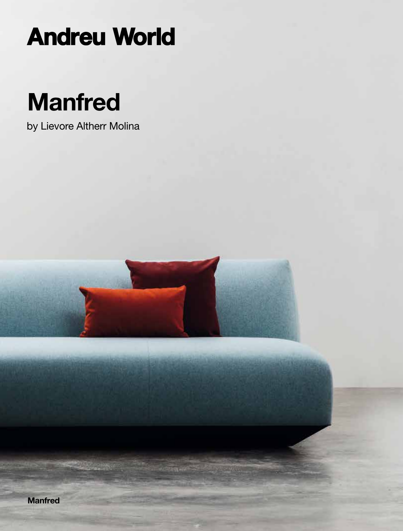# **Andreu World**

# **Manfred**

by Lievore Altherr Molina

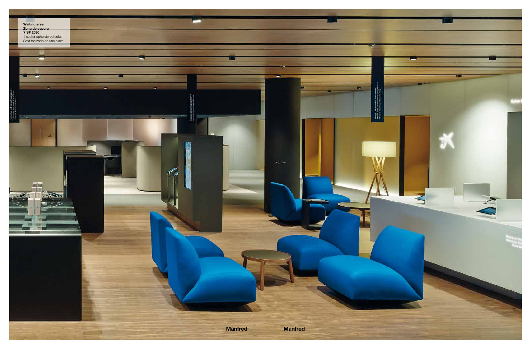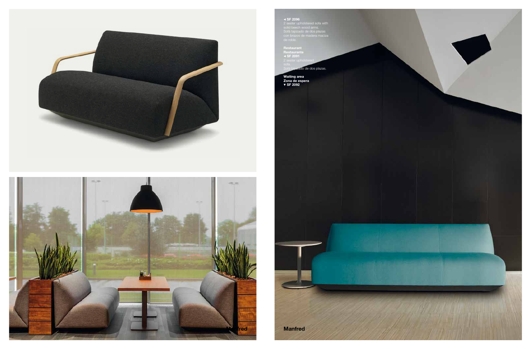



 $\blacktriangle$  **SF 2096**<br>2 seater upholstered sofa with<br>solid beech wood arms.<br>Sofá tapizado de dos plazas<br>con brazos de madera maciza<br>de roble.

Restaurant<br>Restaurante<br>SF 2091

izado de dos plazas.

Waiting area<br>Zona de espera<br>▼ SF 2092

**Manfred**